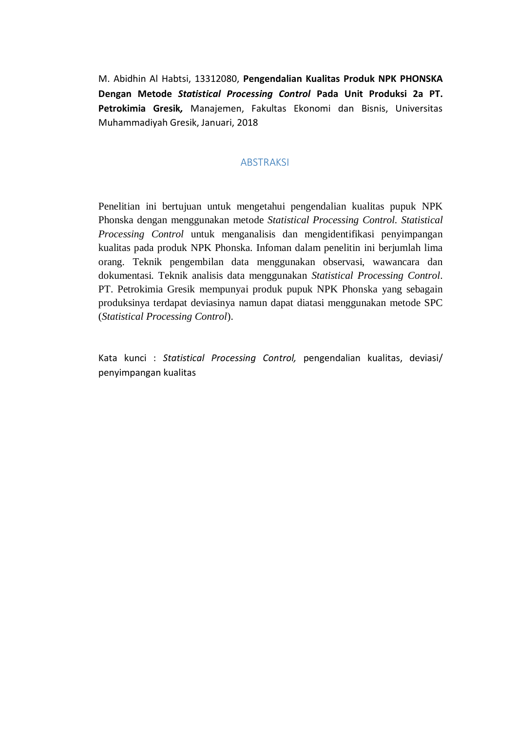M. Abidhin Al Habtsi, 13312080, **Pengendalian Kualitas Produk NPK PHONSKA Dengan Metode** *Statistical Processing Control* **Pada Unit Produksi 2a PT. Petrokimia Gresik***,* Manajemen, Fakultas Ekonomi dan Bisnis, Universitas Muhammadiyah Gresik, Januari, 2018

## ABSTRAKSI

Penelitian ini bertujuan untuk mengetahui pengendalian kualitas pupuk NPK Phonska dengan menggunakan metode *Statistical Processing Control. Statistical Processing Control* untuk menganalisis dan mengidentifikasi penyimpangan kualitas pada produk NPK Phonska. Infoman dalam penelitin ini berjumlah lima orang. Teknik pengembilan data menggunakan observasi, wawancara dan dokumentasi. Teknik analisis data menggunakan *Statistical Processing Control*. PT. Petrokimia Gresik mempunyai produk pupuk NPK Phonska yang sebagain produksinya terdapat deviasinya namun dapat diatasi menggunakan metode SPC (*Statistical Processing Control*).

Kata kunci : *Statistical Processing Control,* pengendalian kualitas, deviasi/ penyimpangan kualitas